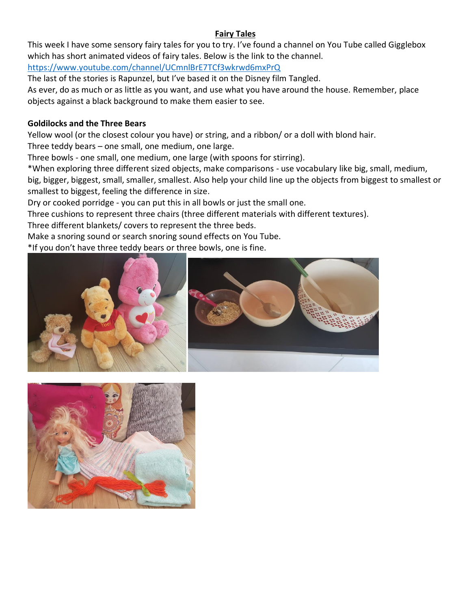# **Fairy Tales**

This week I have some sensory fairy tales for you to try. I've found a channel on You Tube called Gigglebox which has short animated videos of fairy tales. Below is the link to the channel.

<https://www.youtube.com/channel/UCmnlBrE7TCf3wkrwd6mxPrQ>

The last of the stories is Rapunzel, but I've based it on the Disney film Tangled.

As ever, do as much or as little as you want, and use what you have around the house. Remember, place objects against a black background to make them easier to see.

## **Goldilocks and the Three Bears**

Yellow wool (or the closest colour you have) or string, and a ribbon/ or a doll with blond hair.

Three teddy bears – one small, one medium, one large.

Three bowls - one small, one medium, one large (with spoons for stirring).

\*When exploring three different sized objects, make comparisons - use vocabulary like big, small, medium, big, bigger, biggest, small, smaller, smallest. Also help your child line up the objects from biggest to smallest or smallest to biggest, feeling the difference in size.

Dry or cooked porridge - you can put this in all bowls or just the small one.

Three cushions to represent three chairs (three different materials with different textures).

Three different blankets/ covers to represent the three beds.

Make a snoring sound or search snoring sound effects on You Tube.

\*If you don't have three teddy bears or three bowls, one is fine.



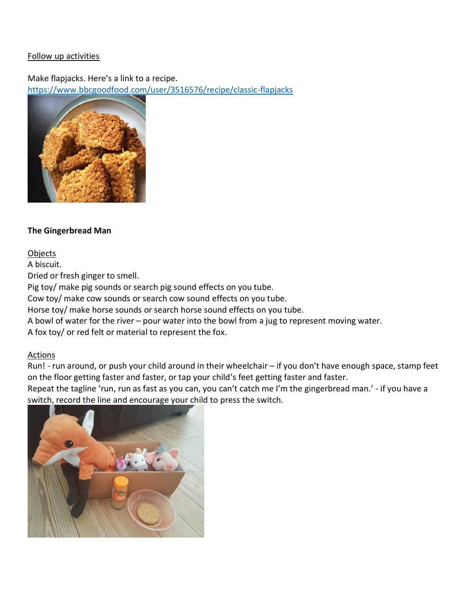Make flapjacks. Here's a link to a recipe. <https://www.bbcgoodfood.com/user/3516576/recipe/classic-flapjacks>



## **The Gingerbread Man**

## Objects

A biscuit.

Dried or fresh ginger to smell.

Pig toy/ make pig sounds or search pig sound effects on you tube.

Cow toy/ make cow sounds or search cow sound effects on you tube.

Horse toy/ make horse sounds or search horse sound effects on you tube.

A bowl of water for the river – pour water into the bowl from a jug to represent moving water.

A fox toy/ or red felt or material to represent the fox.

## Actions

Run! - run around, or push your child around in their wheelchair – if you don't have enough space, stamp feet on the floor getting faster and faster, or tap your child's feet getting faster and faster.

Repeat the tagline 'run, run as fast as you can, you can't catch me I'm the gingerbread man.' - if you have a switch, record the line and encourage your child to press the switch.

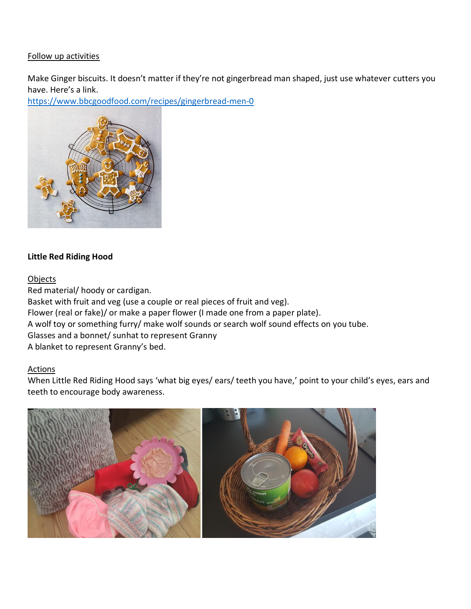Make Ginger biscuits. It doesn't matter if they're not gingerbread man shaped, just use whatever cutters you have. Here's a link.

<https://www.bbcgoodfood.com/recipes/gingerbread-men-0>



## **Little Red Riding Hood**

#### Objects

Red material/ hoody or cardigan. Basket with fruit and veg (use a couple or real pieces of fruit and veg). Flower (real or fake)/ or make a paper flower (I made one from a paper plate). A wolf toy or something furry/ make wolf sounds or search wolf sound effects on you tube. Glasses and a bonnet/ sunhat to represent Granny A blanket to represent Granny's bed.

## Actions

When Little Red Riding Hood says 'what big eyes/ ears/ teeth you have,' point to your child's eyes, ears and teeth to encourage body awareness.

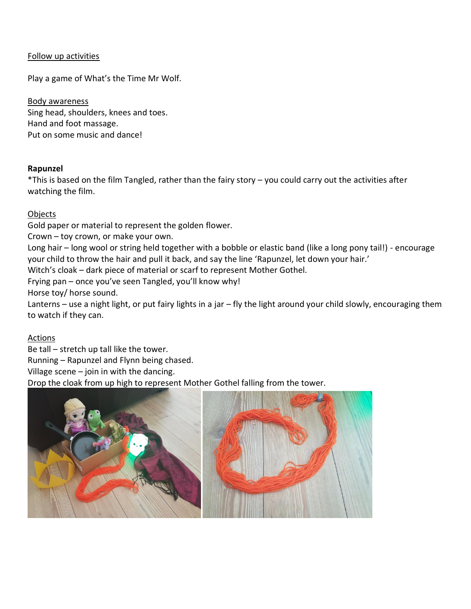Play a game of What's the Time Mr Wolf.

Body awareness Sing head, shoulders, knees and toes. Hand and foot massage. Put on some music and dance!

#### **Rapunzel**

\*This is based on the film Tangled, rather than the fairy story – you could carry out the activities after watching the film.

## Objects

Gold paper or material to represent the golden flower.

Crown – toy crown, or make your own.

Long hair – long wool or string held together with a bobble or elastic band (like a long pony tail!) - encourage your child to throw the hair and pull it back, and say the line 'Rapunzel, let down your hair.'

Witch's cloak – dark piece of material or scarf to represent Mother Gothel.

Frying pan – once you've seen Tangled, you'll know why!

Horse toy/ horse sound.

Lanterns – use a night light, or put fairy lights in a jar – fly the light around your child slowly, encouraging them to watch if they can.

## Actions

Be tall – stretch up tall like the tower.

Running – Rapunzel and Flynn being chased.

Village scene – join in with the dancing.

Drop the cloak from up high to represent Mother Gothel falling from the tower.